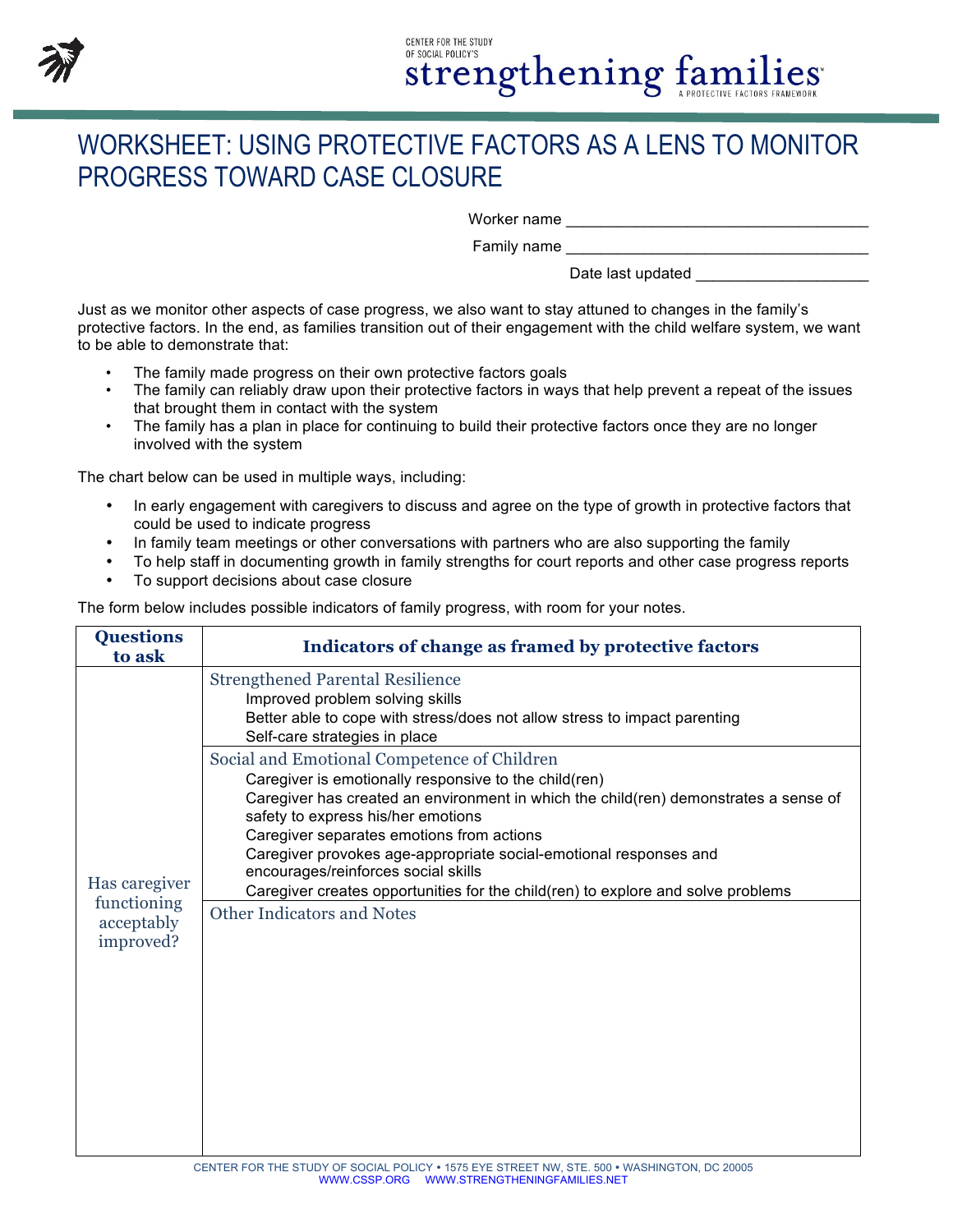

## **CENTER FOR THE STUDY** OF SOCIAL POLICY'S strengthening families

## WORKSHEET: USING PROTECTIVE FACTORS AS A LENS TO MONITOR PROGRESS TOWARD CASE CLOSURE

Worker name was also as a set of the set of the set of the set of the set of the set of the set of the set of the set of the set of the set of the set of the set of the set of the set of the set of the set of the set of th

Family name

Date last updated

Just as we monitor other aspects of case progress, we also want to stay attuned to changes in the family's protective factors. In the end, as families transition out of their engagement with the child welfare system, we want to be able to demonstrate that:

- The family made progress on their own protective factors goals
- The family can reliably draw upon their protective factors in ways that help prevent a repeat of the issues that brought them in contact with the system
- The family has a plan in place for continuing to build their protective factors once they are no longer involved with the system

The chart below can be used in multiple ways, including:

- In early engagement with caregivers to discuss and agree on the type of growth in protective factors that could be used to indicate progress
- In family team meetings or other conversations with partners who are also supporting the family
- To help staff in documenting growth in family strengths for court reports and other case progress reports
- To support decisions about case closure

The form below includes possible indicators of family progress, with room for your notes.

| <b>Questions</b><br>to ask                              | Indicators of change as framed by protective factors                                                                                                                                                                                                                                                                                                                                                                                                                                                          |
|---------------------------------------------------------|---------------------------------------------------------------------------------------------------------------------------------------------------------------------------------------------------------------------------------------------------------------------------------------------------------------------------------------------------------------------------------------------------------------------------------------------------------------------------------------------------------------|
| Has caregiver<br>functioning<br>acceptably<br>improved? | <b>Strengthened Parental Resilience</b><br>Improved problem solving skills<br>Better able to cope with stress/does not allow stress to impact parenting<br>Self-care strategies in place                                                                                                                                                                                                                                                                                                                      |
|                                                         | Social and Emotional Competence of Children<br>Caregiver is emotionally responsive to the child(ren)<br>Caregiver has created an environment in which the child(ren) demonstrates a sense of<br>safety to express his/her emotions<br>Caregiver separates emotions from actions<br>Caregiver provokes age-appropriate social-emotional responses and<br>encourages/reinforces social skills<br>Caregiver creates opportunities for the child(ren) to explore and solve problems<br>Other Indicators and Notes |